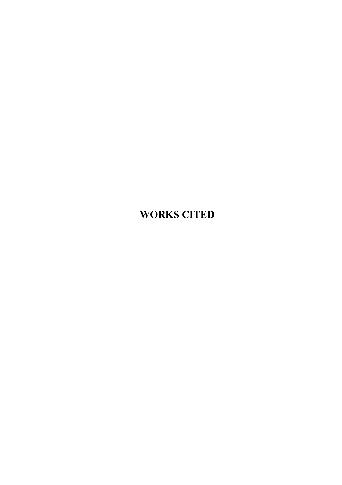## **WORKS CITED**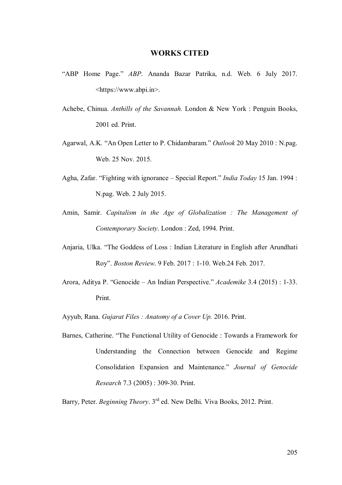## **WORKS CITED**

- "ABP Home Page." *ABP*. Ananda Bazar Patrika, n.d. Web. 6 July 2017. <https://www.abpi.in>.
- Achebe, Chinua. *Anthills of the Savannah.* London & New York : Penguin Books, 2001 ed. Print.
- Agarwal, A.K. "An Open Letter to P. Chidambaram." *Outlook* 20 May 2010 : N.pag. Web. 25 Nov. 2015.
- Agha, Zafar. "Fighting with ignorance Special Report." *India Today* 15 Jan. 1994 : N.pag. Web. 2 July 2015.
- Amin, Samir. *Capitalism in the Age of Globalization : The Management of Contemporary Society*. London : Zed, 1994. Print.
- Anjaria, Ulka. "The Goddess of Loss : Indian Literature in English after Arundhati Roy". *Boston Review*. 9 Feb. 2017 : 1-10. Web.24 Feb. 2017.
- Arora, Aditya P. "Genocide An Indian Perspective." *Academike* 3.4 (2015) : 1-33. Print.
- Ayyub, Rana. *Gujarat Files : Anatomy of a Cover Up.* 2016. Print.
- Barnes, Catherine. "The Functional Utility of Genocide : Towards a Framework for Understanding the Connection between Genocide and Regime Consolidation Expansion and Maintenance." *Journal of Genocide Research* 7.3 (2005) : 309-30. Print.

Barry, Peter. *Beginning Theory*. 3rd ed. New Delhi. Viva Books, 2012. Print.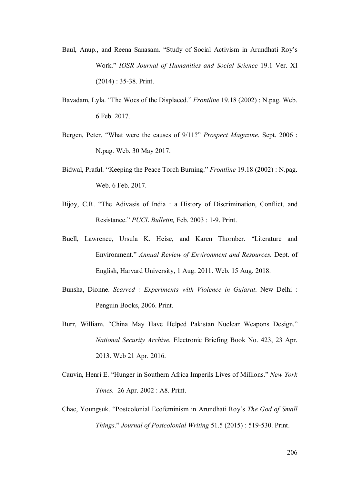- Baul, Anup., and Reena Sanasam. "Study of Social Activism in Arundhati Roy's Work." *IOSR Journal of Humanities and Social Science* 19.1 Ver. XI (2014) : 35-38. Print.
- Bavadam, Lyla. "The Woes of the Displaced." *Frontline* 19.18 (2002) : N.pag. Web. 6 Feb. 2017.
- Bergen, Peter. "What were the causes of 9/11?" *Prospect Magazine*. Sept. 2006 : N.pag. Web. 30 May 2017.
- Bidwal, Praful. "Keeping the Peace Torch Burning." *Frontline* 19.18 (2002) : N.pag. Web. 6 Feb. 2017.
- Bijoy, C.R. "The Adivasis of India : a History of Discrimination, Conflict, and Resistance." *PUCL Bulletin,* Feb. 2003 : 1-9. Print.
- Buell, Lawrence, Ursula K. Heise, and Karen Thornber. "Literature and Environment." *Annual Review of Environment and Resources.* Dept. of English, Harvard University, 1 Aug. 2011. Web. 15 Aug. 2018.
- Bunsha, Dionne. *Scarred : Experiments with Violence in Gujarat*. New Delhi : Penguin Books, 2006. Print.
- Burr, William. "China May Have Helped Pakistan Nuclear Weapons Design." *National Security Archive.* Electronic Briefing Book No. 423, 23 Apr. 2013. Web 21 Apr. 2016.
- Cauvin, Henri E. "Hunger in Southern Africa Imperils Lives of Millions." *New York Times.* 26 Apr. 2002 : A8. Print.
- Chae, Youngsuk. "Postcolonial Ecofeminism in Arundhati Roy's *The God of Small Things*." *Journal of Postcolonial Writing* 51.5 (2015) : 519-530. Print.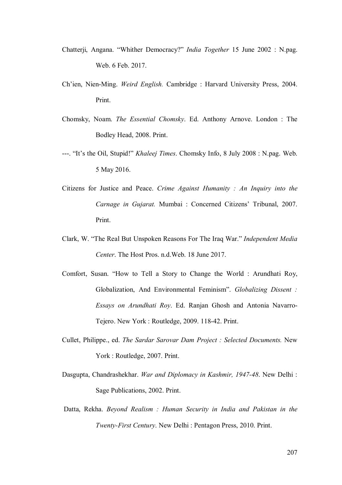- Chatterji, Angana. "Whither Democracy?" *India Together* 15 June 2002 : N.pag. Web. 6 Feb. 2017.
- Ch'ien, Nien-Ming. *Weird English.* Cambridge : Harvard University Press, 2004. Print.
- Chomsky, Noam. *The Essential Chomsky*. Ed. Anthony Arnove. London : The Bodley Head, 2008. Print.
- ---. "It's the Oil, Stupid!" *Khaleej Times*. Chomsky Info, 8 July 2008 : N.pag. Web. 5 May 2016.
- Citizens for Justice and Peace. *Crime Against Humanity : An Inquiry into the Carnage in Gujarat.* Mumbai : Concerned Citizens' Tribunal, 2007. Print.
- Clark, W. "The Real But Unspoken Reasons For The Iraq War." *Independent Media Center*. The Host Pros. n.d.Web. 18 June 2017.
- Comfort, Susan. "How to Tell a Story to Change the World : Arundhati Roy, Globalization, And Environmental Feminism". *Globalizing Dissent : Essays on Arundhati Roy*. Ed. Ranjan Ghosh and Antonia Navarro-Tejero. New York : Routledge, 2009. 118-42. Print.
- Cullet, Philippe., ed. *The Sardar Sarovar Dam Project : Selected Documents.* New York : Routledge, 2007. Print.
- Dasgupta, Chandrashekhar. *War and Diplomacy in Kashmir, 1947-48*. New Delhi : Sage Publications, 2002. Print.
- Datta, Rekha. *Beyond Realism : Human Security in India and Pakistan in the Twenty-First Century*. New Delhi : Pentagon Press, 2010. Print.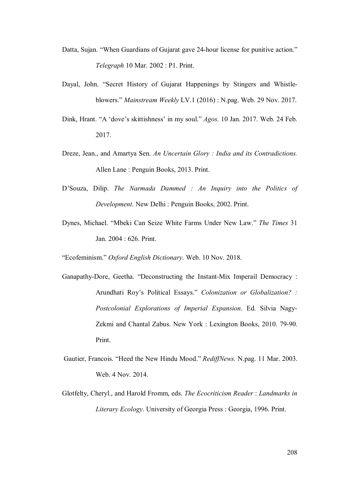- Datta, Sujan. "When Guardians of Gujarat gave 24-hour license for punitive action." *Telegraph* 10 Mar. 2002 : P1. Print.
- Dayal, John. "Secret History of Gujarat Happenings by Stingers and Whistleblowers." *Mainstream Weekly* LV.1 (2016) : N.pag. Web. 29 Nov. 2017.
- Dink, Hrant. "A 'dove's skittishness' in my soul." *Agos*. 10 Jan. 2017. Web. 24 Feb. 2017.
- Dreze, Jean., and Amartya Sen. *An Uncertain Glory : India and its Contradictions.*  Allen Lane : Penguin Books, 2013. Print.
- D'Souza, Dilip. *The Narmada Dammed : An Inquiry into the Politics of Development*. New Delhi : Penguin Books, 2002. Print.
- Dynes, Michael. "Mbeki Can Seize White Farms Under New Law." *The Times* 31 Jan. 2004 : 626. Print.

"Ecofeminism." *Oxford English Dictionary*. Web. 10 Nov. 2018.

- Ganapathy-Dore, Geetha. "Deconstructing the Instant-Mix Imperail Democracy : Arundhati Roy's Political Essays." *Colonization or Globalization? : Postcolonial Explorations of Imperial Expansion*. Ed. Silvia Nagy-Zekmi and Chantal Zabus. New York : Lexington Books, 2010. 79-90. Print.
- Gautier, Francois. "Heed the New Hindu Mood." *RediffNews.* N.pag. 11 Mar. 2003. Web. 4 Nov. 2014.
- Glotfelty, Cheryl., and Harold Fromm, eds. *The Ecocriticism Reader* : *Landmarks in Literary Ecology*. University of Georgia Press : Georgia, 1996. Print.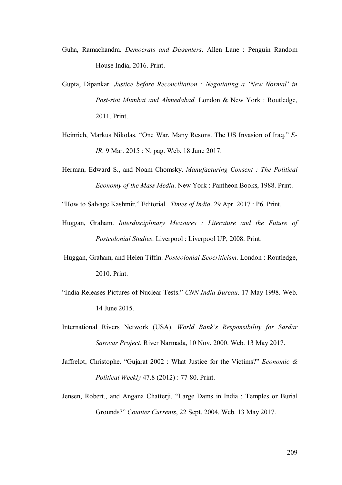- Guha, Ramachandra. *Democrats and Dissenters*. Allen Lane : Penguin Random House India, 2016. Print.
- Gupta, Dipankar. *Justice before Reconciliation : Negotiating a 'New Normal' in Post-riot Mumbai and Ahmedabad.* London & New York : Routledge, 2011. Print.
- Heinrich, Markus Nikolas. "One War, Many Resons. The US Invasion of Iraq." *E-IR.* 9 Mar. 2015 : N. pag. Web. 18 June 2017.
- Herman, Edward S., and Noam Chomsky. *Manufacturing Consent : The Political Economy of the Mass Media*. New York : Pantheon Books, 1988. Print.

"How to Salvage Kashmir." Editorial. *Times of India*. 29 Apr. 2017 : P6. Print.

- Huggan, Graham. *Interdisciplinary Measures : Literature and the Future of Postcolonial Studies*. Liverpool : Liverpool UP, 2008. Print.
- Huggan, Graham, and Helen Tiffin. *Postcolonial Ecocriticism*. London : Routledge, 2010. Print.
- "India Releases Pictures of Nuclear Tests." *CNN India Bureau*. 17 May 1998. Web. 14 June 2015.
- International Rivers Network (USA). *World Bank's Responsibility for Sardar Sarovar Project*. River Narmada, 10 Nov. 2000. Web. 13 May 2017.
- Jaffrelot, Christophe. "Gujarat 2002 : What Justice for the Victims?" *Economic & Political Weekly* 47.8 (2012) : 77-80. Print.
- Jensen, Robert., and Angana Chatterji. "Large Dams in India : Temples or Burial Grounds?" *Counter Currents*, 22 Sept. 2004. Web. 13 May 2017.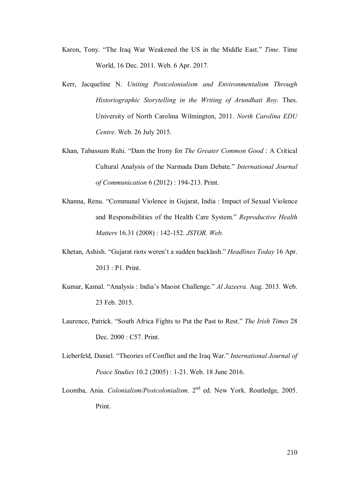- Karon, Tony. "The Iraq War Weakened the US in the Middle East." *Time*. Time World, 16 Dec. 2011. Web. 6 Apr. 2017.
- Kerr, Jacqueline N. *Uniting Postcolonialism and Environmentalism Through Historiographic Storytelling in the Writing of Arundhati Roy*. Thes. University of North Carolina Wilmington, 2011. *North Carolina EDU Centre*. Web. 26 July 2015.
- Khan, Tabassum Ruhi. "Dam the Irony for *The Greater Common Good* : A Critical Cultural Analysis of the Narmada Dam Debate." *International Journal of Communication* 6 (2012) : 194-213. Print.
- Khanna, Renu. "Communal Violence in Gujarat, India : Impact of Sexual Violence and Responsibilities of the Health Care System." *Reproductive Health Matters* 16.31 (2008) : 142-152. *JSTOR. Web.*
- Khetan, Ashish. "Gujarat riots weren't a sudden backlash." *Headlines Today* 16 Apr. 2013 : P1. Print.
- Kumar, Kamal. "Analysis : India's Maoist Challenge." *Al Jazeera.* Aug. 2013. Web. 23 Feb. 2015.
- Laurence, Patrick. "South Africa Fights to Put the Past to Rest." *The Irish Times* 28 Dec. 2000 : C57. Print.
- Lieberfeld, Daniel. "Theories of Conflict and the Iraq War." *International Journal of Peace Studies* 10.2 (2005) : 1-21. Web. 18 June 2016.
- Loomba, Ania. *Colonialism/Postcolonialism*. 2nd ed. New York. Routledge, 2005. Print.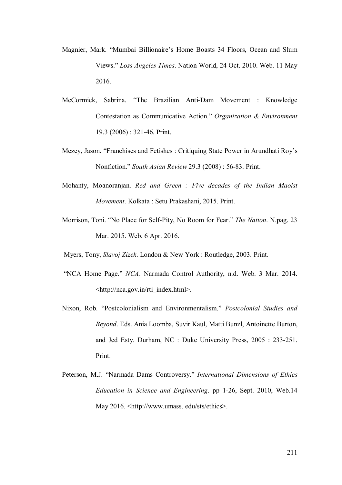- Magnier, Mark. "Mumbai Billionaire's Home Boasts 34 Floors, Ocean and Slum Views." *Loss Angeles Times*. Nation World, 24 Oct. 2010. Web. 11 May 2016.
- McCormick, Sabrina. "The Brazilian Anti-Dam Movement : Knowledge Contestation as Communicative Action." *Organization & Environment* 19.3 (2006) : 321-46. Print.
- Mezey, Jason. "Franchises and Fetishes : Critiquing State Power in Arundhati Roy's Nonfiction." *South Asian Review* 29.3 (2008) : 56-83. Print.
- Mohanty, Moanoranjan. *Red and Green : Five decades of the Indian Maoist Movement*. Kolkata : Setu Prakashani, 2015. Print.
- Morrison, Toni. "No Place for Self-Pity, No Room for Fear." *The Nation*. N.pag. 23 Mar. 2015. Web. 6 Apr. 2016.
- Myers, Tony, *Slavoj Zizek*. London & New York : Routledge, 2003. Print.
- "NCA Home Page." *NCA*. Narmada Control Authority, n.d. Web. 3 Mar. 2014. <http://nca.gov.in/rti\_index.html>.
- Nixon, Rob. "Postcolonialism and Environmentalism." *Postcolonial Studies and Beyond*. Eds. Ania Loomba, Suvir Kaul, Matti Bunzl, Antoinette Burton, and Jed Esty. Durham, NC : Duke University Press, 2005 : 233-251. Print.
- Peterson, M.J. "Narmada Dams Controversy." *International Dimensions of Ethics Education in Science and Engineering*. pp 1-26, Sept. 2010, Web.14 May 2016. <http://www.umass. edu/sts/ethics>.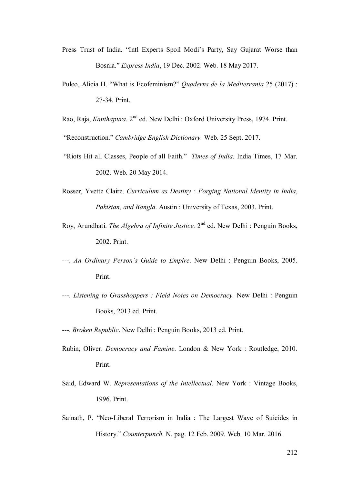- Press Trust of India. "Intl Experts Spoil Modi's Party, Say Gujarat Worse than Bosnia." *Express India*, 19 Dec. 2002. Web. 18 May 2017.
- Puleo, Alicia H. "What is Ecofeminism?" *Quaderns de la Mediterrania* 25 (2017) : 27-34. Print.
- Rao, Raja, *Kanthapura*. 2<sup>nd</sup> ed. New Delhi : Oxford University Press, 1974. Print.

"Reconstruction." *Cambridge English Dictionary.* Web. 25 Sept. 2017.

- "Riots Hit all Classes, People of all Faith." *Times of India*. India Times, 17 Mar. 2002. Web. 20 May 2014.
- Rosser, Yvette Claire. *Curriculum as Destiny : Forging National Identity in India*, *Pakistan, and Bangla*. Austin : University of Texas, 2003. Print.
- Roy, Arundhati. *The Algebra of Infinite Justice*. 2<sup>nd</sup> ed. New Delhi : Penguin Books, 2002. Print.
- ---. *An Ordinary Person's Guide to Empire*. New Delhi : Penguin Books, 2005. Print.
- ---. *Listening to Grasshoppers : Field Notes on Democracy.* New Delhi : Penguin Books, 2013 ed. Print.
- ---. *Broken Republic*. New Delhi : Penguin Books, 2013 ed. Print.
- Rubin, Oliver. *Democracy and Famine*. London & New York : Routledge, 2010. Print.
- Said, Edward W. *Representations of the Intellectual*. New York : Vintage Books, 1996. Print.
- Sainath, P. "Neo-Liberal Terrorism in India : The Largest Wave of Suicides in History." *Counterpunch.* N. pag. 12 Feb. 2009. Web. 10 Mar. 2016.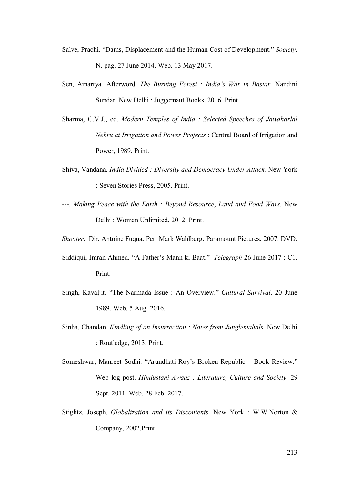- Salve, Prachi. "Dams, Displacement and the Human Cost of Development." *Society*. N. pag. 27 June 2014. Web. 13 May 2017.
- Sen, Amartya. Afterword. *The Burning Forest : India's War in Bastar*. Nandini Sundar. New Delhi : Juggernaut Books, 2016. Print.
- Sharma, C.V.J., ed. *Modern Temples of India : Selected Speeches of Jawaharlal Nehru at Irrigation and Power Projects* : Central Board of Irrigation and Power, 1989. Print.
- Shiva, Vandana. *India Divided : Diversity and Democracy Under Attack.* New York : Seven Stories Press, 2005. Print.
- ---. *Making Peace with the Earth : Beyond Resource*, *Land and Food Wars*. New Delhi : Women Unlimited, 2012. Print.
- *Shooter*. Dir. Antoine Fuqua. Per. Mark Wahlberg. Paramount Pictures, 2007. DVD.
- Siddiqui, Imran Ahmed. "A Father's Mann ki Baat." *Telegraph* 26 June 2017 : C1. Print.
- Singh, Kavaljit. "The Narmada Issue : An Overview." *Cultural Survival*. 20 June 1989. Web. 5 Aug. 2016.
- Sinha, Chandan. *Kindling of an Insurrection : Notes from Junglemahals*. New Delhi : Routledge, 2013. Print.
- Someshwar, Manreet Sodhi. "Arundhati Roy's Broken Republic Book Review." Web log post. *Hindustani Awaaz : Literature, Culture and Society*. 29 Sept. 2011. Web. 28 Feb. 2017.
- Stiglitz, Joseph. *Globalization and its Discontents*. New York : W.W.Norton & Company, 2002.Print.